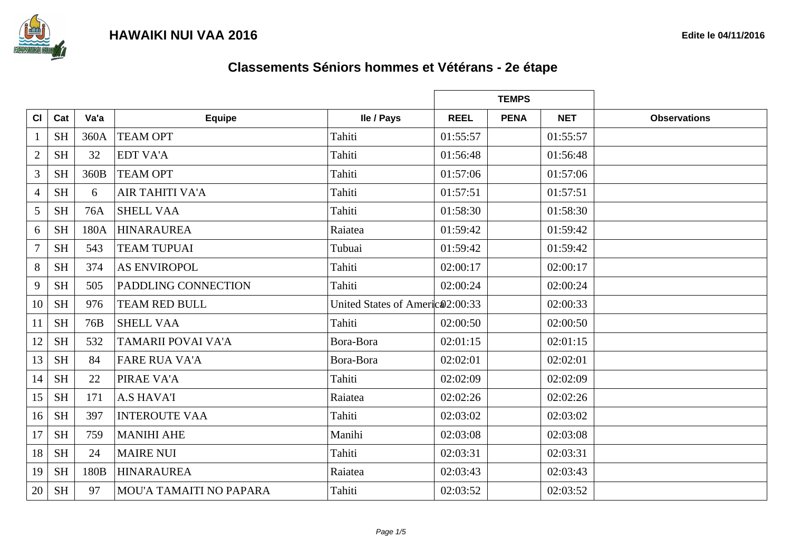

|                |           |      |                            |                                 | <b>TEMPS</b> |             |            |                     |
|----------------|-----------|------|----------------------------|---------------------------------|--------------|-------------|------------|---------------------|
| CI             | Cat       | Va'a | <b>Equipe</b>              | lle / Pays                      | <b>REEL</b>  | <b>PENA</b> | <b>NET</b> | <b>Observations</b> |
| 1              | <b>SH</b> | 360A | <b>TEAM OPT</b>            | Tahiti                          | 01:55:57     |             | 01:55:57   |                     |
| $\overline{2}$ | <b>SH</b> | 32   | <b>EDT VA'A</b>            | Tahiti                          | 01:56:48     |             | 01:56:48   |                     |
| $\overline{3}$ | <b>SH</b> | 360B | <b>TEAM OPT</b>            | Tahiti                          | 01:57:06     |             | 01:57:06   |                     |
| $\overline{4}$ | <b>SH</b> | 6    | <b>AIR TAHITI VA'A</b>     | Tahiti                          | 01:57:51     |             | 01:57:51   |                     |
| 5              | <b>SH</b> | 76A  | <b>SHELL VAA</b>           | Tahiti                          | 01:58:30     |             | 01:58:30   |                     |
| 6              | <b>SH</b> | 180A | <b>HINARAUREA</b>          | Raiatea                         | 01:59:42     |             | 01:59:42   |                     |
| $\overline{7}$ | <b>SH</b> | 543  | <b>TEAM TUPUAI</b>         | Tubuai                          | 01:59:42     |             | 01:59:42   |                     |
| 8              | <b>SH</b> | 374  | <b>AS ENVIROPOL</b>        | Tahiti                          | 02:00:17     |             | 02:00:17   |                     |
| 9              | <b>SH</b> | 505  | <b>PADDLING CONNECTION</b> | Tahiti                          | 02:00:24     |             | 02:00:24   |                     |
| 10             | <b>SH</b> | 976  | <b>TEAM RED BULL</b>       | United States of Americ 2:00:33 |              |             | 02:00:33   |                     |
| 11             | <b>SH</b> | 76B  | <b>SHELL VAA</b>           | Tahiti                          | 02:00:50     |             | 02:00:50   |                     |
| 12             | <b>SH</b> | 532  | <b>TAMARII POVAI VA'A</b>  | Bora-Bora                       | 02:01:15     |             | 02:01:15   |                     |
| 13             | <b>SH</b> | 84   | <b>FARE RUA VA'A</b>       | Bora-Bora                       | 02:02:01     |             | 02:02:01   |                     |
| 14             | <b>SH</b> | 22   | PIRAE VA'A                 | Tahiti                          | 02:02:09     |             | 02:02:09   |                     |
| 15             | <b>SH</b> | 171  | <b>A.S HAVA'I</b>          | Raiatea                         | 02:02:26     |             | 02:02:26   |                     |
| 16             | <b>SH</b> | 397  | <b>INTEROUTE VAA</b>       | Tahiti                          | 02:03:02     |             | 02:03:02   |                     |
| 17             | <b>SH</b> | 759  | <b>MANIHI AHE</b>          | Manihi                          | 02:03:08     |             | 02:03:08   |                     |
| 18             | <b>SH</b> | 24   | <b>MAIRE NUI</b>           | Tahiti                          | 02:03:31     |             | 02:03:31   |                     |
| 19             | <b>SH</b> | 180B | <b>HINARAUREA</b>          | Raiatea                         | 02:03:43     |             | 02:03:43   |                     |
| 20             | <b>SH</b> | 97   | MOU'A TAMAITI NO PAPARA    | Tahiti                          | 02:03:52     |             | 02:03:52   |                     |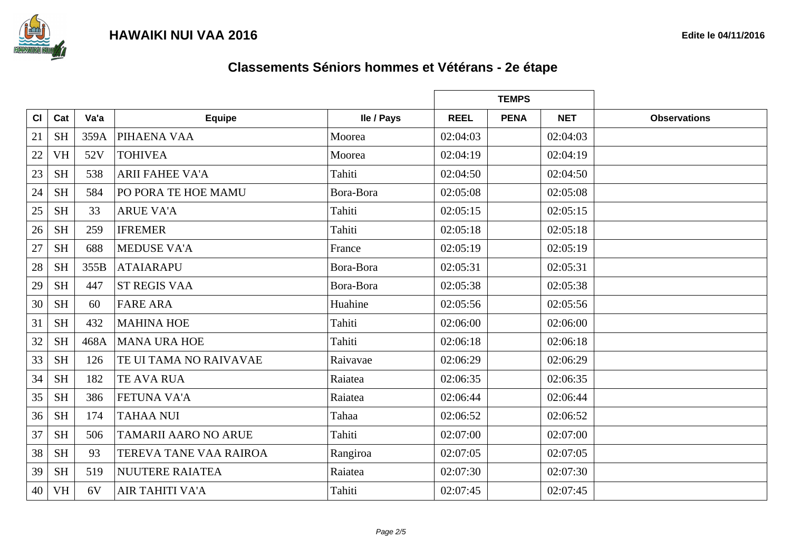



|    |           |      |                               |            |             | <b>TEMPS</b> |            |                     |
|----|-----------|------|-------------------------------|------------|-------------|--------------|------------|---------------------|
| CI | Cat       | Va'a | <b>Equipe</b>                 | lle / Pays | <b>REEL</b> | <b>PENA</b>  | <b>NET</b> | <b>Observations</b> |
| 21 | <b>SH</b> | 359A | PIHAENA VAA                   | Moorea     | 02:04:03    |              | 02:04:03   |                     |
| 22 | <b>VH</b> | 52V  | <b>TOHIVEA</b>                | Moorea     | 02:04:19    |              | 02:04:19   |                     |
| 23 | <b>SH</b> | 538  | <b>ARII FAHEE VA'A</b>        | Tahiti     | 02:04:50    |              | 02:04:50   |                     |
| 24 | <b>SH</b> | 584  | PO PORA TE HOE MAMU           | Bora-Bora  | 02:05:08    |              | 02:05:08   |                     |
| 25 | <b>SH</b> | 33   | <b>ARUE VA'A</b>              | Tahiti     | 02:05:15    |              | 02:05:15   |                     |
| 26 | <b>SH</b> | 259  | <b>IFREMER</b>                | Tahiti     | 02:05:18    |              | 02:05:18   |                     |
| 27 | <b>SH</b> | 688  | <b>MEDUSE VA'A</b>            | France     | 02:05:19    |              | 02:05:19   |                     |
| 28 | <b>SH</b> | 355B | <b>ATAIARAPU</b>              | Bora-Bora  | 02:05:31    |              | 02:05:31   |                     |
| 29 | <b>SH</b> | 447  | <b>ST REGIS VAA</b>           | Bora-Bora  | 02:05:38    |              | 02:05:38   |                     |
| 30 | <b>SH</b> | 60   | <b>FARE ARA</b>               | Huahine    | 02:05:56    |              | 02:05:56   |                     |
| 31 | <b>SH</b> | 432  | <b>MAHINA HOE</b>             | Tahiti     | 02:06:00    |              | 02:06:00   |                     |
| 32 | <b>SH</b> | 468A | <b>MANA URA HOE</b>           | Tahiti     | 02:06:18    |              | 02:06:18   |                     |
| 33 | <b>SH</b> | 126  | TE UI TAMA NO RAIVAVAE        | Raivavae   | 02:06:29    |              | 02:06:29   |                     |
| 34 | <b>SH</b> | 182  | <b>TE AVA RUA</b>             | Raiatea    | 02:06:35    |              | 02:06:35   |                     |
| 35 | <b>SH</b> | 386  | <b>FETUNA VA'A</b>            | Raiatea    | 02:06:44    |              | 02:06:44   |                     |
| 36 | <b>SH</b> | 174  | <b>TAHAA NUI</b>              | Tahaa      | 02:06:52    |              | 02:06:52   |                     |
| 37 | <b>SH</b> | 506  | <b>TAMARII AARO NO ARUE</b>   | Tahiti     | 02:07:00    |              | 02:07:00   |                     |
| 38 | <b>SH</b> | 93   | <b>TEREVA TANE VAA RAIROA</b> | Rangiroa   | 02:07:05    |              | 02:07:05   |                     |
| 39 | <b>SH</b> | 519  | <b>NUUTERE RAIATEA</b>        | Raiatea    | 02:07:30    |              | 02:07:30   |                     |
| 40 | <b>VH</b> | 6V   | <b>AIR TAHITI VA'A</b>        | Tahiti     | 02:07:45    |              | 02:07:45   |                     |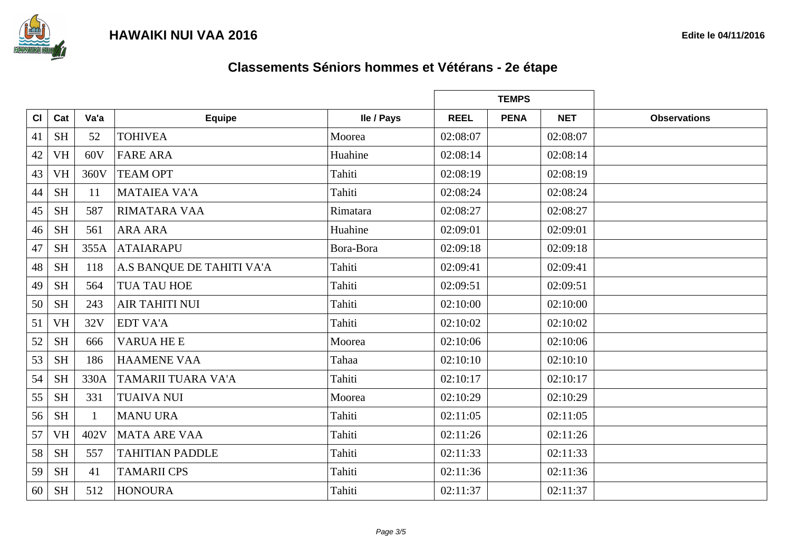



|    |           |      |                           |            | <b>TEMPS</b> |             |            |                     |
|----|-----------|------|---------------------------|------------|--------------|-------------|------------|---------------------|
| CI | Cat       | Va'a | <b>Equipe</b>             | Ile / Pays | <b>REEL</b>  | <b>PENA</b> | <b>NET</b> | <b>Observations</b> |
| 41 | <b>SH</b> | 52   | <b>TOHIVEA</b>            | Moorea     | 02:08:07     |             | 02:08:07   |                     |
| 42 | <b>VH</b> | 60V  | <b>FARE ARA</b>           | Huahine    | 02:08:14     |             | 02:08:14   |                     |
| 43 | <b>VH</b> | 360V | <b>TEAM OPT</b>           | Tahiti     | 02:08:19     |             | 02:08:19   |                     |
| 44 | <b>SH</b> | 11   | <b>MATAIEA VA'A</b>       | Tahiti     | 02:08:24     |             | 02:08:24   |                     |
| 45 | <b>SH</b> | 587  | RIMATARA VAA              | Rimatara   | 02:08:27     |             | 02:08:27   |                     |
| 46 | <b>SH</b> | 561  | <b>ARA ARA</b>            | Huahine    | 02:09:01     |             | 02:09:01   |                     |
| 47 | <b>SH</b> | 355A | <b>ATAIARAPU</b>          | Bora-Bora  | 02:09:18     |             | 02:09:18   |                     |
| 48 | <b>SH</b> | 118  | A.S BANQUE DE TAHITI VA'A | Tahiti     | 02:09:41     |             | 02:09:41   |                     |
| 49 | <b>SH</b> | 564  | <b>TUA TAU HOE</b>        | Tahiti     | 02:09:51     |             | 02:09:51   |                     |
| 50 | <b>SH</b> | 243  | <b>AIR TAHITI NUI</b>     | Tahiti     | 02:10:00     |             | 02:10:00   |                     |
| 51 | <b>VH</b> | 32V  | <b>EDT VA'A</b>           | Tahiti     | 02:10:02     |             | 02:10:02   |                     |
| 52 | <b>SH</b> | 666  | <b>VARUA HE E</b>         | Moorea     | 02:10:06     |             | 02:10:06   |                     |
| 53 | <b>SH</b> | 186  | <b>HAAMENE VAA</b>        | Tahaa      | 02:10:10     |             | 02:10:10   |                     |
| 54 | <b>SH</b> | 330A | TAMARII TUARA VA'A        | Tahiti     | 02:10:17     |             | 02:10:17   |                     |
| 55 | <b>SH</b> | 331  | <b>TUAIVA NUI</b>         | Moorea     | 02:10:29     |             | 02:10:29   |                     |
| 56 | <b>SH</b> |      | <b>MANU URA</b>           | Tahiti     | 02:11:05     |             | 02:11:05   |                     |
| 57 | <b>VH</b> | 402V | <b>MATA ARE VAA</b>       | Tahiti     | 02:11:26     |             | 02:11:26   |                     |
| 58 | <b>SH</b> | 557  | <b>TAHITIAN PADDLE</b>    | Tahiti     | 02:11:33     |             | 02:11:33   |                     |
| 59 | <b>SH</b> | 41   | <b>TAMARII CPS</b>        | Tahiti     | 02:11:36     |             | 02:11:36   |                     |
| 60 | <b>SH</b> | 512  | <b>HONOURA</b>            | Tahiti     | 02:11:37     |             | 02:11:37   |                     |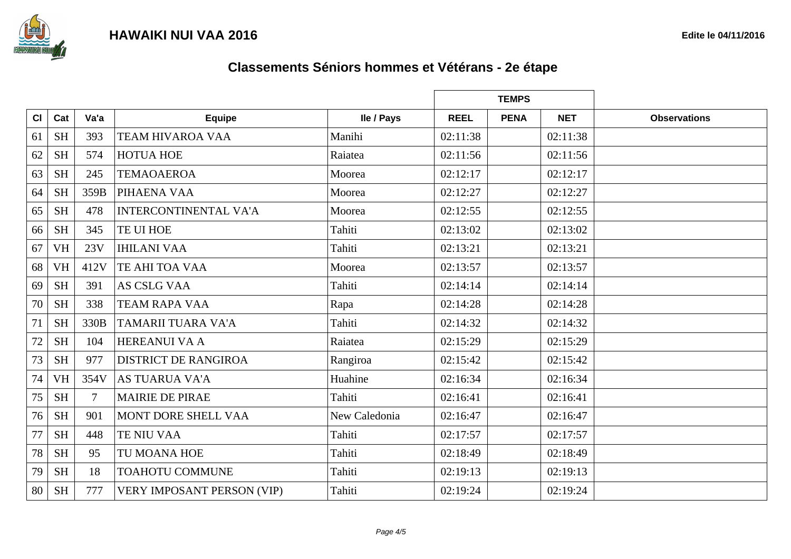



|    |           |        |                                   |               |             | <b>TEMPS</b> |            |                     |
|----|-----------|--------|-----------------------------------|---------------|-------------|--------------|------------|---------------------|
| CI | Cat       | Va'a   | <b>Equipe</b>                     | Ile / Pays    | <b>REEL</b> | <b>PENA</b>  | <b>NET</b> | <b>Observations</b> |
| 61 | <b>SH</b> | 393    | <b>TEAM HIVAROA VAA</b>           | Manihi        | 02:11:38    |              | 02:11:38   |                     |
| 62 | <b>SH</b> | 574    | <b>HOTUA HOE</b>                  | Raiatea       | 02:11:56    |              | 02:11:56   |                     |
| 63 | <b>SH</b> | 245    | <b>TEMAOAEROA</b>                 | Moorea        | 02:12:17    |              | 02:12:17   |                     |
| 64 | <b>SH</b> | 359B   | PIHAENA VAA                       | Moorea        | 02:12:27    |              | 02:12:27   |                     |
| 65 | <b>SH</b> | 478    | <b>INTERCONTINENTAL VA'A</b>      | Moorea        | 02:12:55    |              | 02:12:55   |                     |
| 66 | <b>SH</b> | 345    | TE UI HOE                         | Tahiti        | 02:13:02    |              | 02:13:02   |                     |
| 67 | <b>VH</b> | 23V    | <b>IHILANI VAA</b>                | Tahiti        | 02:13:21    |              | 02:13:21   |                     |
| 68 | <b>VH</b> | 412V   | TE AHI TOA VAA                    | Moorea        | 02:13:57    |              | 02:13:57   |                     |
| 69 | <b>SH</b> | 391    | <b>AS CSLG VAA</b>                | Tahiti        | 02:14:14    |              | 02:14:14   |                     |
| 70 | <b>SH</b> | 338    | <b>TEAM RAPA VAA</b>              | Rapa          | 02:14:28    |              | 02:14:28   |                     |
| 71 | <b>SH</b> | 330B   | TAMARII TUARA VA'A                | Tahiti        | 02:14:32    |              | 02:14:32   |                     |
| 72 | <b>SH</b> | 104    | <b>HEREANUI VA A</b>              | Raiatea       | 02:15:29    |              | 02:15:29   |                     |
| 73 | <b>SH</b> | 977    | <b>DISTRICT DE RANGIROA</b>       | Rangiroa      | 02:15:42    |              | 02:15:42   |                     |
| 74 | <b>VH</b> | 354V   | <b>AS TUARUA VA'A</b>             | Huahine       | 02:16:34    |              | 02:16:34   |                     |
| 75 | <b>SH</b> | $\tau$ | <b>MAIRIE DE PIRAE</b>            | Tahiti        | 02:16:41    |              | 02:16:41   |                     |
| 76 | <b>SH</b> | 901    | MONT DORE SHELL VAA               | New Caledonia | 02:16:47    |              | 02:16:47   |                     |
| 77 | <b>SH</b> | 448    | <b>TE NIU VAA</b>                 | Tahiti        | 02:17:57    |              | 02:17:57   |                     |
| 78 | <b>SH</b> | 95     | TU MOANA HOE                      | Tahiti        | 02:18:49    |              | 02:18:49   |                     |
| 79 | <b>SH</b> | 18     | <b>TOAHOTU COMMUNE</b>            | Tahiti        | 02:19:13    |              | 02:19:13   |                     |
| 80 | <b>SH</b> | 777    | <b>VERY IMPOSANT PERSON (VIP)</b> | Tahiti        | 02:19:24    |              | 02:19:24   |                     |